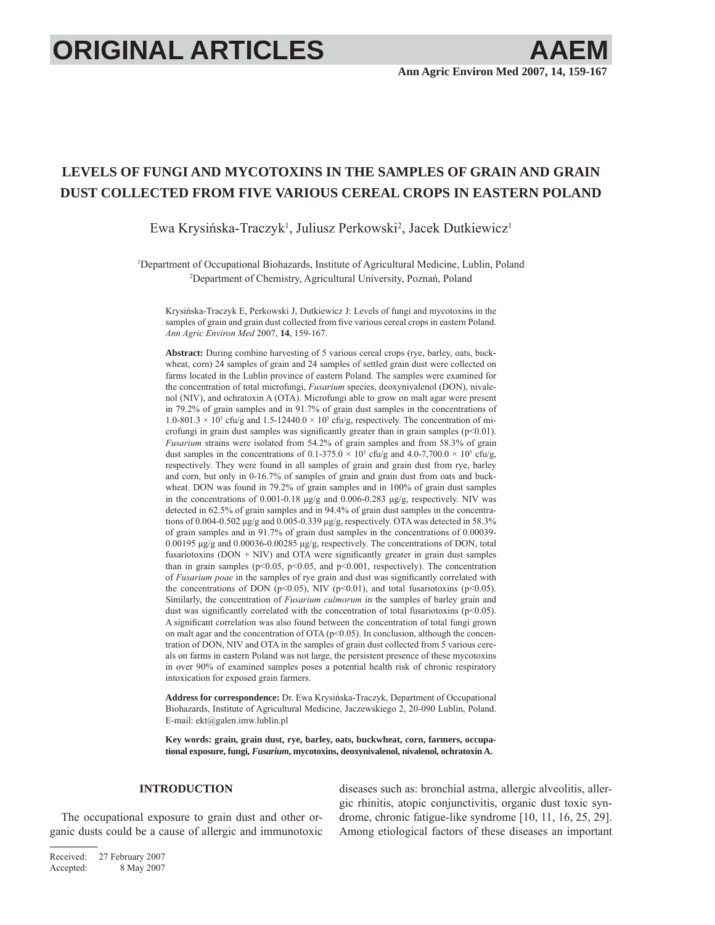# **ORIGINAL ARTICLES**

## **LEVELS OF FUNGI AND MYCOTOXINS IN THE SAMPLES OF GRAIN AND GRAIN DUST COLLECTED FROM FIVE VARIOUS CEREAL CROPS IN EASTERN POLAND**

Ewa Krysińska-Traczyk<sup>1</sup>, Juliusz Perkowski<sup>2</sup>, Jacek Dutkiewicz<sup>1</sup>

1 Department of Occupational Biohazards, Institute of Agricultural Medicine, Lublin, Poland 2 Department of Chemistry, Agricultural University, Poznań, Poland

Krysińska-Traczyk E, Perkowski J, Dutkiewicz J: Levels of fungi and mycotoxins in the samples of grain and grain dust collected from five various cereal crops in eastern Poland. *Ann Agric Environ Med* 2007, **14**, 159-167.

**Abstract:** During combine harvesting of 5 various cereal crops (rye, barley, oats, buckwheat, corn) 24 samples of grain and 24 samples of settled grain dust were collected on farms located in the Lublin province of eastern Poland. The samples were examined for the concentration of total microfungi, *Fusarium* species, deoxynivalenol (DON), nivalenol (NIV), and ochratoxin A (OTA). Microfungi able to grow on malt agar were present in 79.2% of grain samples and in 91.7% of grain dust samples in the concentrations of  $1.0\n-801.3 \times 10<sup>3</sup>$  cfu/g and  $1.5\n-12440.0 \times 10<sup>3</sup>$  cfu/g, respectively. The concentration of microfungi in grain dust samples was significantly greater than in grain samples ( $p<0.01$ ). *Fusarium* strains were isolated from 54.2% of grain samples and from 58.3% of grain dust samples in the concentrations of  $0.1$ -375.0  $\times$  10<sup>3</sup> cfu/g and 4.0-7,700.0  $\times$  10<sup>3</sup> cfu/g, respectively. They were found in all samples of grain and grain dust from rye, barley and corn, but only in 0-16.7% of samples of grain and grain dust from oats and buckwheat. DON was found in 79.2% of grain samples and in 100% of grain dust samples in the concentrations of 0.001-0.18 μg/g and 0.006-0.283 μg/g, respectively. NIV was detected in 62.5% of grain samples and in 94.4% of grain dust samples in the concentrations of 0.004-0.502 μg/g and 0.005-0.339 μg/g, respectively. OTA was detected in 58.3% of grain samples and in 91.7% of grain dust samples in the concentrations of 0.00039- 0.00195 μg/g and 0.00036-0.00285 μg/g, respectively. The concentrations of DON, total fusariotoxins ( $DOM + NIV$ ) and  $OTA$  were significantly greater in grain dust samples than in grain samples ( $p<0.05$ ,  $p<0.05$ , and  $p<0.001$ , respectively). The concentration of *Fusarium poae* in the samples of rye grain and dust was significantly correlated with the concentrations of DON ( $p<0.05$ ), NIV ( $p<0.01$ ), and total fusariotoxins ( $p<0.05$ ). Similarly, the concentration of *Fusarium culmorum* in the samples of barley grain and dust was significantly correlated with the concentration of total fusariotoxins ( $p<0.05$ ). A significant correlation was also found between the concentration of total fungi grown on malt agar and the concentration of OTA ( $p$ <0.05). In conclusion, although the concentration of DON, NIV and OTA in the samples of grain dust collected from 5 various cereals on farms in eastern Poland was not large, the persistent presence of these mycotoxins in over 90% of examined samples poses a potential health risk of chronic respiratory intoxication for exposed grain farmers.

**Address for correspondence:** Dr. Ewa Krysińska-Traczyk, Department of Occupational Biohazards, Institute of Agricultural Medicine, Jaczewskiego 2, 20-090 Lublin, Poland. E-mail: ekt@galen.imw.lublin.pl

**Key words: grain, grain dust, rye, barley, oats, buckwheat, corn, farmers, occupational exposure, fungi,** *Fusarium***, mycotoxins, deoxynivalenol, nivalenol, ochratoxin A.**

### **INTRODUCTION**

The occupational exposure to grain dust and other organic dusts could be a cause of allergic and immunotoxic diseases such as: bronchial astma, allergic alveolitis, allergic rhinitis, atopic conjunctivitis, organic dust toxic syndrome, chronic fatigue-like syndrome [10, 11, 16, 25, 29]. Among etiological factors of these diseases an important

Received: 27 February 2007 Accepted: 8 May 2007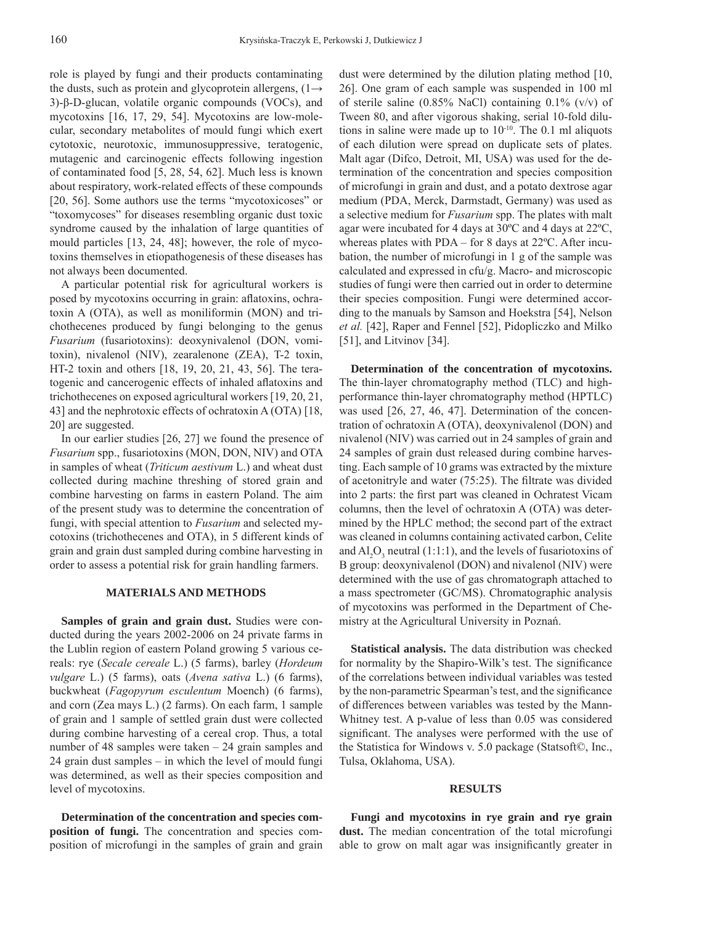role is played by fungi and their products contaminating the dusts, such as protein and glycoprotein allergens,  $(1 \rightarrow$ 3)-β-D-glucan, volatile organic compounds (VOCs), and mycotoxins [16, 17, 29, 54]. Mycotoxins are low-molecular, secondary metabolites of mould fungi which exert cytotoxic, neurotoxic, immunosuppressive, teratogenic, mutagenic and carcinogenic effects following ingestion of contaminated food [5, 28, 54, 62]. Much less is known about respiratory, work-related effects of these compounds [20, 56]. Some authors use the terms "mycotoxicoses" or "toxomycoses" for diseases resembling organic dust toxic syndrome caused by the inhalation of large quantities of mould particles [13, 24, 48]; however, the role of mycotoxins themselves in etiopathogenesis of these diseases has not always been documented.

A particular potential risk for agricultural workers is posed by mycotoxins occurring in grain: aflatoxins, ochratoxin A (OTA), as well as moniliformin (MON) and trichothecenes produced by fungi belonging to the genus *Fusarium* (fusariotoxins): deoxynivalenol (DON, vomitoxin), nivalenol (NIV), zearalenone (ZEA), T-2 toxin, HT-2 toxin and others [18, 19, 20, 21, 43, 56]. The teratogenic and cancerogenic effects of inhaled aflatoxins and trichothecenes on exposed agricultural workers [19, 20, 21, 43] and the nephrotoxic effects of ochratoxin A (OTA) [18, 20] are suggested.

In our earlier studies [26, 27] we found the presence of *Fusarium* spp., fusariotoxins (MON, DON, NIV) and OTA in samples of wheat (*Triticum aestivum* L.) and wheat dust collected during machine threshing of stored grain and combine harvesting on farms in eastern Poland. The aim of the present study was to determine the concentration of fungi, with special attention to *Fusarium* and selected mycotoxins (trichothecenes and OTA), in 5 different kinds of grain and grain dust sampled during combine harvesting in order to assess a potential risk for grain handling farmers.

#### **MATERIALS AND METHODS**

**Samples of grain and grain dust.** Studies were conducted during the years 2002-2006 on 24 private farms in the Lublin region of eastern Poland growing 5 various cereals: rye (*Secale cereale* L.) (5 farms), barley (*Hordeum vulgare* L.) (5 farms), oats (*Avena sativa* L.) (6 farms), buckwheat (*Fagopyrum esculentum* Moench) (6 farms), and corn (Zea mays L.) (2 farms). On each farm, 1 sample of grain and 1 sample of settled grain dust were collected during combine harvesting of a cereal crop. Thus, a total number of 48 samples were taken – 24 grain samples and 24 grain dust samples – in which the level of mould fungi was determined, as well as their species composition and level of mycotoxins.

**Determination of the concentration and species composition of fungi.** The concentration and species composition of microfungi in the samples of grain and grain dust were determined by the dilution plating method [10, 26]. One gram of each sample was suspended in 100 ml of sterile saline (0.85% NaCl) containing 0.1% (v/v) of Tween 80, and after vigorous shaking, serial 10-fold dilutions in saline were made up to  $10^{-10}$ . The 0.1 ml aliquots of each dilution were spread on duplicate sets of plates. Malt agar (Difco, Detroit, MI, USA) was used for the determination of the concentration and species composition of microfungi in grain and dust, and a potato dextrose agar medium (PDA, Merck, Darmstadt, Germany) was used as a selective medium for *Fusarium* spp. The plates with malt agar were incubated for 4 days at 30ºC and 4 days at 22ºC, whereas plates with PDA – for 8 days at 22ºC. After incubation, the number of microfungi in 1 g of the sample was calculated and expressed in cfu/g. Macro- and microscopic studies of fungi were then carried out in order to determine their species composition. Fungi were determined according to the manuals by Samson and Hoekstra [54], Nelson *et al.* [42], Raper and Fennel [52], Pidopliczko and Milko [51], and Litvinov [34].

**Determination of the concentration of mycotoxins.**  The thin-layer chromatography method (TLC) and highperformance thin-layer chromatography method (HPTLC) was used [26, 27, 46, 47]. Determination of the concentration of ochratoxin A (OTA), deoxynivalenol (DON) and nivalenol (NIV) was carried out in 24 samples of grain and 24 samples of grain dust released during combine harvesting. Each sample of 10 grams was extracted by the mixture of acetonitryle and water  $(75:25)$ . The filtrate was divided into 2 parts: the first part was cleaned in Ochratest Vicam columns, then the level of ochratoxin A (OTA) was determined by the HPLC method; the second part of the extract was cleaned in columns containing activated carbon, Celite and  $AI<sub>2</sub>O<sub>3</sub>$  neutral (1:1:1), and the levels of fusariotoxins of B group: deoxynivalenol (DON) and nivalenol (NIV) were determined with the use of gas chromatograph attached to a mass spectrometer (GC/MS). Chromatographic analysis of mycotoxins was performed in the Department of Chemistry at the Agricultural University in Poznań.

**Statistical analysis.** The data distribution was checked for normality by the Shapiro-Wilk's test. The significance of the correlations between individual variables was tested by the non-parametric Spearman's test, and the significance of differences between variables was tested by the Mann-Whitney test. A p-value of less than 0.05 was considered significant. The analyses were performed with the use of the Statistica for Windows v. 5.0 package (Statsoft©, Inc., Tulsa, Oklahoma, USA).

### **RESULTS**

**Fungi and mycotoxins in rye grain and rye grain**  dust. The median concentration of the total microfungi able to grow on malt agar was insignificantly greater in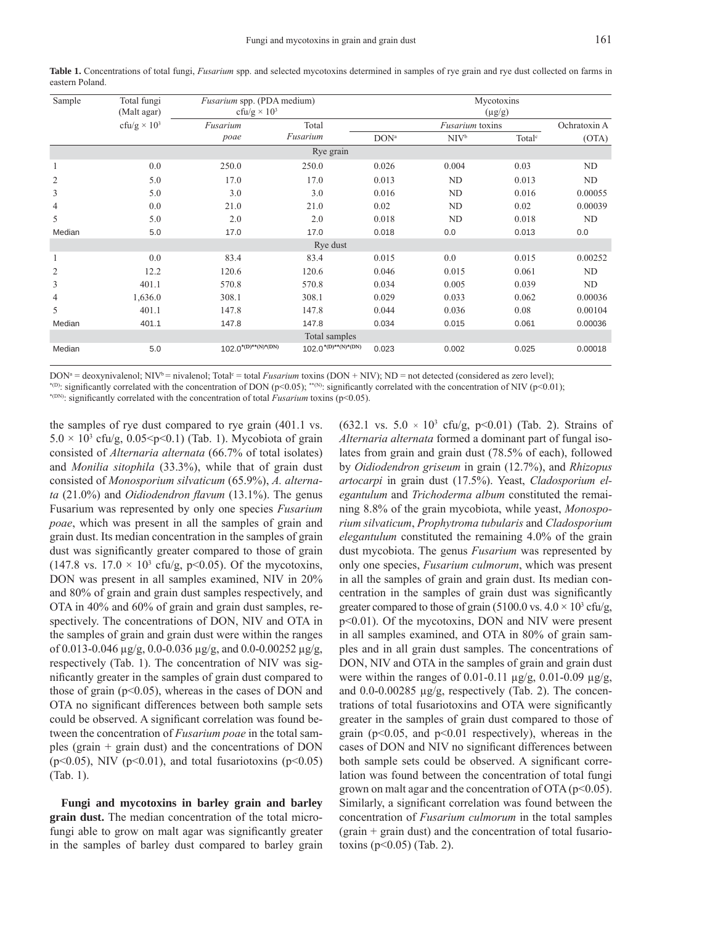| Sample         | Total fungi<br>(Malt agar)     | Fusarium spp. (PDA medium)<br>cfu/g $\times$ 10 <sup>3</sup> |                          | Mycotoxins<br>$(\mu g/g)$ |                        |                    |              |  |  |  |
|----------------|--------------------------------|--------------------------------------------------------------|--------------------------|---------------------------|------------------------|--------------------|--------------|--|--|--|
|                | cfu/g $\times$ 10 <sup>3</sup> | Fusarium                                                     | Total                    |                           | <i>Fusarium</i> toxins |                    | Ochratoxin A |  |  |  |
|                |                                | poae                                                         | Fusarium                 | DON <sup>a</sup>          | NIV <sup>b</sup>       | Total <sup>c</sup> | (OTA)        |  |  |  |
| Rye grain      |                                |                                                              |                          |                           |                        |                    |              |  |  |  |
| 1              | 0.0                            | 250.0                                                        | 250.0                    | 0.026                     | 0.004                  | 0.03               | ND           |  |  |  |
| $\overline{c}$ | 5.0                            | 17.0                                                         | 17.0                     | 0.013                     | ND                     | 0.013              | ND           |  |  |  |
| 3              | 5.0                            | 3.0                                                          | 3.0                      | 0.016                     | ND                     | 0.016              | 0.00055      |  |  |  |
| $\overline{4}$ | 0.0                            | 21.0                                                         | 21.0                     | 0.02                      | ND                     | 0.02               | 0.00039      |  |  |  |
| 5              | 5.0                            | 2.0                                                          | 2.0                      | 0.018                     | ND                     | 0.018              | ND           |  |  |  |
| Median         | 5.0                            | 17.0                                                         | 17.0                     | 0.018                     | 0.0                    | 0.013              | 0.0          |  |  |  |
| Rye dust       |                                |                                                              |                          |                           |                        |                    |              |  |  |  |
| 1              | 0.0                            | 83.4                                                         | 83.4                     | 0.015                     | 0.0                    | 0.015              | 0.00252      |  |  |  |
| 2              | 12.2                           | 120.6                                                        | 120.6                    | 0.046                     | 0.015                  | 0.061              | ND           |  |  |  |
| 3              | 401.1                          | 570.8                                                        | 570.8                    | 0.034                     | 0.005                  | 0.039              | ND           |  |  |  |
| $\overline{4}$ | 1,636.0                        | 308.1                                                        | 308.1                    | 0.029                     | 0.033                  | 0.062              | 0.00036      |  |  |  |
| 5              | 401.1                          | 147.8                                                        | 147.8                    | 0.044                     | 0.036                  | 0.08               | 0.00104      |  |  |  |
| Median         | 401.1                          | 147.8                                                        | 147.8                    | 0.034                     | 0.015                  | 0.061              | 0.00036      |  |  |  |
|                |                                |                                                              | Total samples            |                           |                        |                    |              |  |  |  |
| Median         | 5.0                            | $102.0^{*(D)**(N)*(DN)}$                                     | $102.0^{*(D)**(N)*(DN)}$ | 0.023                     | 0.002                  | 0.025              | 0.00018      |  |  |  |

**Table 1.** Concentrations of total fungi, *Fusarium* spp. and selected mycotoxins determined in samples of rye grain and rye dust collected on farms in eastern Poland.

DON<sup>a</sup> = deoxynivalenol; NIV<sup>b</sup> = nivalenol; Total<sup>c</sup> = total *Fusarium* toxins (DON + NIV); ND = not detected (considered as zero level);

<sup>\*(D)</sup>: significantly correlated with the concentration of DON (p<0.05); \*<sup>\*(N)</sup>: significantly correlated with the concentration of NIV (p<0.01); \*<sup>(DN)</sup>: significantly correlated with the concentration of total *Fusariu* 

the samples of rye dust compared to rye grain (401.1 vs.  $5.0 \times 10^3$  cfu/g,  $0.05 \le p \le 0.1$ ) (Tab. 1). Mycobiota of grain consisted of *Alternaria alternata* (66.7% of total isolates) and *Monilia sitophila* (33.3%), while that of grain dust consisted of *Monosporium silvaticum* (65.9%), *A. alternata* (21.0%) and *Oidiodendron flavum* (13.1%). The genus Fusarium was represented by only one species *Fusarium poae*, which was present in all the samples of grain and grain dust. Its median concentration in the samples of grain dust was significantly greater compared to those of grain (147.8 vs.  $17.0 \times 10^3$  cfu/g, p<0.05). Of the mycotoxins, DON was present in all samples examined, NIV in 20% and 80% of grain and grain dust samples respectively, and OTA in 40% and 60% of grain and grain dust samples, respectively. The concentrations of DON, NIV and OTA in the samples of grain and grain dust were within the ranges of 0.013-0.046 μg/g, 0.0-0.036 μg/g, and 0.0-0.00252 μg/g, respectively (Tab. 1). The concentration of NIV was significantly greater in the samples of grain dust compared to those of grain  $(p<0.05)$ , whereas in the cases of DON and OTA no significant differences between both sample sets could be observed. A significant correlation was found between the concentration of *Fusarium poae* in the total samples (grain + grain dust) and the concentrations of DON ( $p<0.05$ ), NIV ( $p<0.01$ ), and total fusariotoxins ( $p<0.05$ ) (Tab. 1).

**Fungi and mycotoxins in barley grain and barley grain dust.** The median concentration of the total microfungi able to grow on malt agar was significantly greater in the samples of barley dust compared to barley grain

 $(632.1 \text{ vs. } 5.0 \times 10^3 \text{ cfu/g, } p<0.01)$  (Tab. 2). Strains of *Alternaria alternata* formed a dominant part of fungal isolates from grain and grain dust (78.5% of each), followed by *Oidiodendron griseum* in grain (12.7%), and *Rhizopus artocarpi* in grain dust (17.5%). Yeast, *Cladosporium elegantulum* and *Trichoderma album* constituted the remaining 8.8% of the grain mycobiota, while yeast, *Monosporium silvaticum*, *Prophytroma tubularis* and *Cladosporium elegantulum* constituted the remaining 4.0% of the grain dust mycobiota. The genus *Fusarium* was represented by only one species, *Fusarium culmorum*, which was present in all the samples of grain and grain dust. Its median concentration in the samples of grain dust was significantly greater compared to those of grain (5100.0 vs.  $4.0 \times 10^3$  cfu/g, p<0.01). Of the mycotoxins, DON and NIV were present in all samples examined, and OTA in 80% of grain samples and in all grain dust samples. The concentrations of DON, NIV and OTA in the samples of grain and grain dust were within the ranges of 0.01-0.11  $\mu$ g/g, 0.01-0.09  $\mu$ g/g, and 0.0-0.00285 μg/g, respectively (Tab. 2). The concentrations of total fusariotoxins and OTA were significantly greater in the samples of grain dust compared to those of grain ( $p<0.05$ , and  $p<0.01$  respectively), whereas in the cases of DON and NIV no significant differences between both sample sets could be observed. A significant correlation was found between the concentration of total fungi grown on malt agar and the concentration of OTA ( $p<0.05$ ). Similarly, a significant correlation was found between the concentration of *Fusarium culmorum* in the total samples  $(grain + grain dust)$  and the concentration of total fusariotoxins  $(p<0.05)$  (Tab. 2).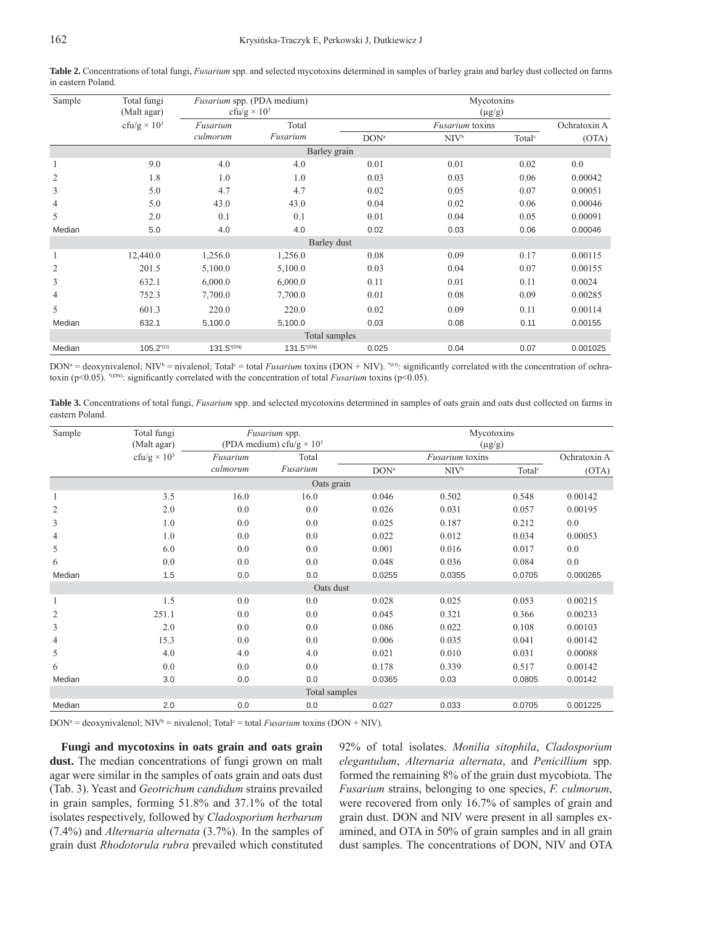| Sample         | Total fungi<br>(Malt agar)     | Fusarium spp. (PDA medium)<br>cfu/g $\times$ 10 <sup>3</sup> |                   | Mycotoxins<br>$(\mu g/g)$ |                  |                    |          |  |  |
|----------------|--------------------------------|--------------------------------------------------------------|-------------------|---------------------------|------------------|--------------------|----------|--|--|
|                | cfu/g $\times$ 10 <sup>3</sup> | Fusarium<br>culmorum                                         | Total<br>Fusarium |                           | Ochratoxin A     |                    |          |  |  |
|                |                                |                                                              |                   | DON <sup>a</sup>          | NIV <sup>b</sup> | Total <sup>c</sup> | (OTA)    |  |  |
| Barley grain   |                                |                                                              |                   |                           |                  |                    |          |  |  |
|                | 9.0                            | 4.0                                                          | 4.0               | 0.01                      | 0.01             | 0.02               | 0.0      |  |  |
| $\overline{2}$ | 1.8                            | 1.0                                                          | 1.0               | 0.03                      | 0.03             | 0.06               | 0.00042  |  |  |
| 3              | 5.0                            | 4.7                                                          | 4.7               | 0.02                      | 0.05             | 0.07               | 0.00051  |  |  |
| $\overline{4}$ | 5.0                            | 43.0                                                         | 43.0              | 0.04                      | 0.02             | 0.06               | 0.00046  |  |  |
| 5              | 2.0                            | 0.1                                                          | 0.1               | 0.01                      | 0.04             | 0.05               | 0.00091  |  |  |
| Median         | 5.0                            | 4.0                                                          | 4.0               | 0.02                      | 0.03             | 0.06               | 0.00046  |  |  |
| Barley dust    |                                |                                                              |                   |                           |                  |                    |          |  |  |
|                | 12,440.0                       | 1,256.0                                                      | 1,256.0           | 0.08                      | 0.09             | 0.17               | 0.00115  |  |  |
| $\overline{2}$ | 201.5                          | 5,100.0                                                      | 5,100.0           | 0.03                      | 0.04             | 0.07               | 0.00155  |  |  |
| 3              | 632.1                          | 6,000.0                                                      | 6,000.0           | 0.11                      | 0.01             | 0.11               | 0.0024   |  |  |
| $\overline{4}$ | 752.3                          | 7,700.0                                                      | 7,700.0           | 0.01                      | 0.08             | 0.09               | 0.00285  |  |  |
| 5              | 601.3                          | 220.0                                                        | 220.0             | 0.02                      | 0.09             | 0.11               | 0.00114  |  |  |
| Median         | 632.1                          | 5,100.0                                                      | 5,100.0           | 0.03                      | 0.08             | 0.11               | 0.00155  |  |  |
|                | Total samples                  |                                                              |                   |                           |                  |                    |          |  |  |
| Median         | $105.2^{(0)}$                  | $131.5^{(DN)}$                                               | $131.5^{(DN)}$    | 0.025                     | 0.04             | 0.07               | 0.001025 |  |  |

**Table 2.** Concentrations of total fungi, *Fusarium* spp. and selected mycotoxins determined in samples of barley grain and barley dust collected on farms in eastern Poland.

 $DOM^a =$  deoxynivalenol; NIV<sup>b</sup> = nivalenol; Total<sup>c</sup> = total *Fusarium* toxins (DON + NIV). \*<sup>(0)</sup>: significantly correlated with the concentration of ochratoxin (p<0.05). \*<sup>(DN)</sup>: significantly correlated with the concentration of total *Fusarium* toxins (p<0.05).

**Table 3.** Concentrations of total fungi, *Fusarium* spp. and selected mycotoxins determined in samples of oats grain and oats dust collected on farms in eastern Poland.

| Sample         | Total fungi<br>(Malt agar)     | Fusarium spp.<br>(PDA medium) cfu/g $\times$ 10 <sup>3</sup> |               | Mycotoxins<br>$(\mu g/g)$ |                  |                    |              |  |  |
|----------------|--------------------------------|--------------------------------------------------------------|---------------|---------------------------|------------------|--------------------|--------------|--|--|
|                | cfu/g $\times$ 10 <sup>3</sup> | Fusarium                                                     | Total         |                           | Fusarium toxins  |                    | Ochratoxin A |  |  |
|                |                                | culmorum                                                     | Fusarium      | DON <sup>a</sup>          | NIV <sup>b</sup> | Total <sup>c</sup> | (OTA)        |  |  |
| Oats grain     |                                |                                                              |               |                           |                  |                    |              |  |  |
| $\mathbf{1}$   | 3.5                            | 16.0                                                         | 16.0          | 0.046                     | 0.502            | 0.548              | 0.00142      |  |  |
| $\overline{2}$ | 2.0                            | 0.0                                                          | 0.0           | 0.026                     | 0.031            | 0.057              | 0.00195      |  |  |
| 3              | 1.0                            | 0.0                                                          | 0.0           | 0.025                     | 0.187            | 0.212              | 0.0          |  |  |
| $\overline{4}$ | 1.0                            | 0.0                                                          | 0.0           | 0.022                     | 0.012            | 0.034              | 0.00053      |  |  |
| 5              | 6.0                            | 0.0                                                          | 0.0           | 0.001                     | 0.016            | 0.017              | 0.0          |  |  |
| 6              | 0.0                            | 0.0                                                          | 0.0           | 0.048                     | 0.036            | 0.084              | 0.0          |  |  |
| Median         | 1.5                            | 0.0                                                          | 0.0           | 0.0255                    | 0.0355           | 0.0705             | 0.000265     |  |  |
|                |                                |                                                              | Oats dust     |                           |                  |                    |              |  |  |
| $\mathbf{1}$   | 1.5                            | 0.0                                                          | 0.0           | 0.028                     | 0.025            | 0.053              | 0.00215      |  |  |
| $\overline{c}$ | 251.1                          | 0.0                                                          | 0.0           | 0.045                     | 0.321            | 0.366              | 0.00233      |  |  |
| 3              | 2.0                            | 0.0                                                          | 0.0           | 0.086                     | 0.022            | 0.108              | 0.00103      |  |  |
| $\overline{4}$ | 15.3                           | 0.0                                                          | 0.0           | 0.006                     | 0.035            | 0.041              | 0.00142      |  |  |
| 5              | 4.0                            | 4.0                                                          | 4.0           | 0.021                     | 0.010            | 0.031              | 0.00088      |  |  |
| 6              | 0.0                            | 0.0                                                          | 0.0           | 0.178                     | 0.339            | 0.517              | 0.00142      |  |  |
| Median         | 3.0                            | 0.0                                                          | 0.0           | 0.0365                    | 0.03             | 0.0805             | 0.00142      |  |  |
|                |                                |                                                              | Total samples |                           |                  |                    |              |  |  |
| Median         | 2.0                            | 0.0                                                          | 0.0           | 0.027                     | 0.033            | 0.0705             | 0.001225     |  |  |

 $DOM^a = deoxynivalenol; NIV^b = nivalenol; Total<sup>c</sup> = total *Fusarium* toxins (DOM + NIV).$ 

**Fungi and mycotoxins in oats grain and oats grain**  dust. The median concentrations of fungi grown on malt agar were similar in the samples of oats grain and oats dust (Tab. 3). Yeast and *Geotrichum candidum* strains prevailed in grain samples, forming 51.8% and 37.1% of the total isolates respectively, followed by *Cladosporium herbarum* (7.4%) and *Alternaria alternata* (3.7%). In the samples of grain dust *Rhodotorula rubra* prevailed which constituted 92% of total isolates. *Monilia sitophila*, *Cladosporium elegantulum*, *Alternaria alternata*, and *Penicillium* spp. formed the remaining 8% of the grain dust mycobiota. The *Fusarium* strains, belonging to one species, *F. culmorum*, were recovered from only 16.7% of samples of grain and grain dust. DON and NIV were present in all samples examined, and OTA in 50% of grain samples and in all grain dust samples. The concentrations of DON, NIV and OTA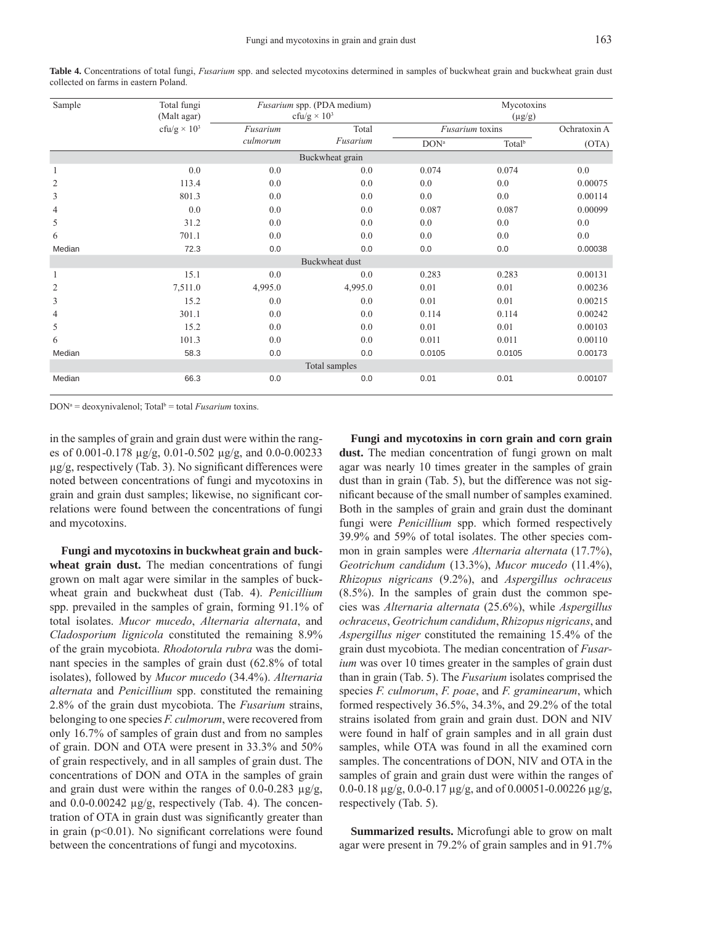| Sample                | Total fungi<br>(Malt agar)     |          | Fusarium spp. (PDA medium)<br>cfu/g $\times$ 10 <sup>3</sup> | Mycotoxins<br>$(\mu g/g)$ |                        |         |  |  |  |
|-----------------------|--------------------------------|----------|--------------------------------------------------------------|---------------------------|------------------------|---------|--|--|--|
|                       | cfu/g $\times$ 10 <sup>3</sup> | Fusarium | Total                                                        |                           | <i>Fusarium</i> toxins |         |  |  |  |
|                       |                                | culmorum | Fusarium                                                     | $DON^a$                   | Total <sup>b</sup>     | (OTA)   |  |  |  |
|                       |                                |          |                                                              |                           |                        |         |  |  |  |
| $\mathbf{1}$          | 0.0                            | 0.0      | 0.0                                                          | 0.074                     | 0.074                  | 0.0     |  |  |  |
| $\overline{c}$        | 113.4                          | 0.0      | 0.0                                                          | 0.0                       | 0.0                    | 0.00075 |  |  |  |
| 3                     | 801.3                          | 0.0      | 0.0                                                          | 0.0                       | 0.0                    | 0.00114 |  |  |  |
| $\overline{4}$        | 0.0                            | 0.0      | 0.0                                                          | 0.087                     | 0.087                  | 0.00099 |  |  |  |
| 5                     | 31.2                           | 0.0      | 0.0                                                          | 0.0                       | 0.0                    | 0.0     |  |  |  |
| 6                     | 701.1                          | 0.0      | 0.0                                                          | 0.0                       | 0.0                    | 0.0     |  |  |  |
| Median                | 72.3                           | 0.0      | 0.0                                                          | 0.0                       | 0.0                    | 0.00038 |  |  |  |
| <b>Buckwheat dust</b> |                                |          |                                                              |                           |                        |         |  |  |  |
| $\mathbf{1}$          | 15.1                           | 0.0      | 0.0                                                          | 0.283                     | 0.283                  | 0.00131 |  |  |  |
| $\overline{2}$        | 7,511.0                        | 4,995.0  | 4,995.0                                                      | 0.01                      | 0.01                   | 0.00236 |  |  |  |
| 3                     | 15.2                           | 0.0      | 0.0                                                          | 0.01                      | 0.01                   | 0.00215 |  |  |  |
| $\overline{4}$        | 301.1                          | 0.0      | 0.0                                                          | 0.114                     | 0.114                  | 0.00242 |  |  |  |
| 5                     | 15.2                           | 0.0      | 0.0                                                          | 0.01                      | 0.01                   | 0.00103 |  |  |  |
| 6                     | 101.3                          | 0.0      | 0.0                                                          | 0.011                     | 0.011                  | 0.00110 |  |  |  |
| Median                | 58.3                           | 0.0      | 0.0                                                          | 0.0105                    | 0.0105                 | 0.00173 |  |  |  |
| Total samples         |                                |          |                                                              |                           |                        |         |  |  |  |
| Median                | 66.3                           | 0.0      | 0.0                                                          | 0.01                      | 0.01                   | 0.00107 |  |  |  |

**Table 4.** Concentrations of total fungi, *Fusarium* spp. and selected mycotoxins determined in samples of buckwheat grain and buckwheat grain dust collected on farms in eastern Poland.

DON<sup>a</sup> = deoxynivalenol; Total<sup>b</sup> = total *Fusarium* toxins.

in the samples of grain and grain dust were within the ranges of 0.001-0.178 μg/g, 0.01-0.502 μg/g, and 0.0-0.00233  $\mu$ g/g, respectively (Tab. 3). No significant differences were noted between concentrations of fungi and mycotoxins in grain and grain dust samples; likewise, no significant correlations were found between the concentrations of fungi and mycotoxins.

**Fungi and mycotoxins in buckwheat grain and buckwheat grain dust.** The median concentrations of fungi grown on malt agar were similar in the samples of buckwheat grain and buckwheat dust (Tab. 4). *Penicillium* spp. prevailed in the samples of grain, forming 91.1% of total isolates. *Mucor mucedo*, *Alternaria alternata*, and *Cladosporium lignicola* constituted the remaining 8.9% of the grain mycobiota. *Rhodotorula rubra* was the dominant species in the samples of grain dust (62.8% of total isolates), followed by *Mucor mucedo* (34.4%). *Alternaria alternata* and *Penicillium* spp. constituted the remaining 2.8% of the grain dust mycobiota. The *Fusarium* strains, belonging to one species *F. culmorum*, were recovered from only 16.7% of samples of grain dust and from no samples of grain. DON and OTA were present in 33.3% and 50% of grain respectively, and in all samples of grain dust. The concentrations of DON and OTA in the samples of grain and grain dust were within the ranges of 0.0-0.283  $\mu$ g/g, and 0.0-0.00242 μg/g, respectively (Tab. 4). The concentration of OTA in grain dust was significantly greater than in grain ( $p<0.01$ ). No significant correlations were found between the concentrations of fungi and mycotoxins.

**Fungi and mycotoxins in corn grain and corn grain**  dust. The median concentration of fungi grown on malt agar was nearly 10 times greater in the samples of grain dust than in grain (Tab. 5), but the difference was not significant because of the small number of samples examined. Both in the samples of grain and grain dust the dominant fungi were *Penicillium* spp. which formed respectively 39.9% and 59% of total isolates. The other species common in grain samples were *Alternaria alternata* (17.7%), *Geotrichum candidum* (13.3%), *Mucor mucedo* (11.4%), *Rhizopus nigricans* (9.2%), and *Aspergillus ochraceus* (8.5%). In the samples of grain dust the common species was *Alternaria alternata* (25.6%), while *Aspergillus ochraceus*, *Geotrichum candidum*, *Rhizopus nigricans*, and *Aspergillus niger* constituted the remaining 15.4% of the grain dust mycobiota. The median concentration of *Fusarium* was over 10 times greater in the samples of grain dust than in grain (Tab. 5). The *Fusarium* isolates comprised the species *F. culmorum*, *F. poae*, and *F. graminearum*, which formed respectively 36.5%, 34.3%, and 29.2% of the total strains isolated from grain and grain dust. DON and NIV were found in half of grain samples and in all grain dust samples, while OTA was found in all the examined corn samples. The concentrations of DON, NIV and OTA in the samples of grain and grain dust were within the ranges of 0.0-0.18 μg/g, 0.0-0.17 μg/g, and of 0.00051-0.00226 μg/g, respectively (Tab. 5).

**Summarized results.** Microfungi able to grow on malt agar were present in 79.2% of grain samples and in 91.7%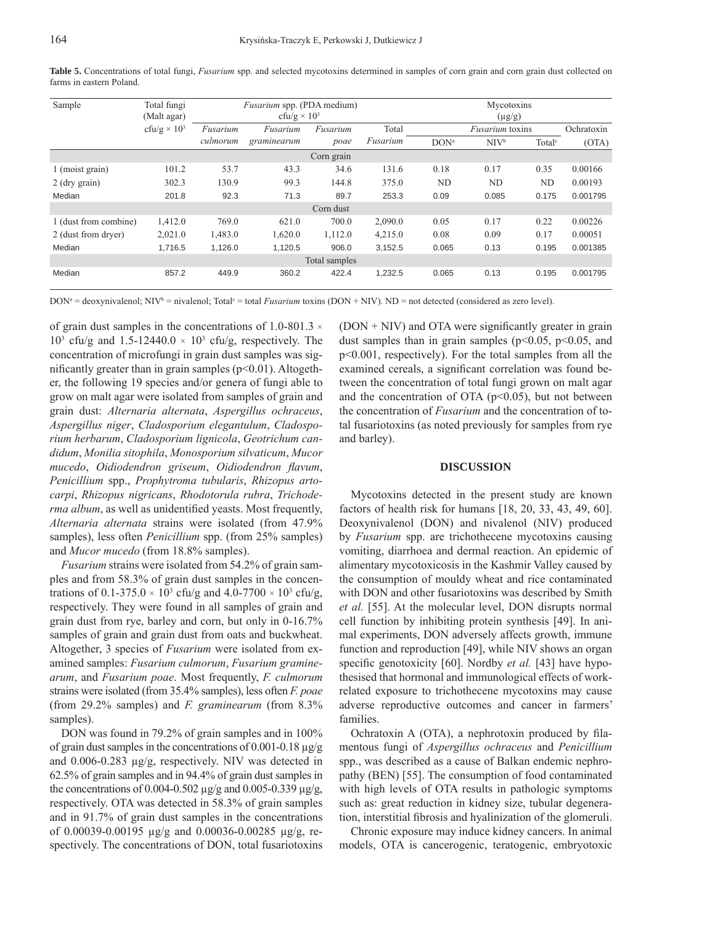| Sample                | Total fungi                    | <i>Fusarium</i> spp. (PDA medium) |             |            |             | Mycotoxins             |         |                    |          |
|-----------------------|--------------------------------|-----------------------------------|-------------|------------|-------------|------------------------|---------|--------------------|----------|
|                       | (Malt agar)                    | cfu/g $\times$ 10 <sup>3</sup>    |             |            | $(\mu g/g)$ |                        |         |                    |          |
|                       | cfu/g $\times$ 10 <sup>3</sup> | Fusarium                          | Fusarium    | Fusarium   | Total       | <i>Fusarium</i> toxins |         | Ochratoxin         |          |
|                       |                                | culmorum                          | graminearum | poae       | Fusarium    | DON <sup>a</sup>       | $NIV^b$ | Total <sup>c</sup> | (OTA)    |
|                       |                                |                                   |             | Corn grain |             |                        |         |                    |          |
| 1 (moist grain)       | 101.2                          | 53.7                              | 43.3        | 34.6       | 131.6       | 0.18                   | 0.17    | 0.35               | 0.00166  |
| $2$ (dry grain)       | 302.3                          | 130.9                             | 99.3        | 144.8      | 375.0       | ND                     | ND      | ND                 | 0.00193  |
| Median                | 201.8                          | 92.3                              | 71.3        | 89.7       | 253.3       | 0.09                   | 0.085   | 0.175              | 0.001795 |
|                       |                                |                                   |             | Corn dust  |             |                        |         |                    |          |
| 1 (dust from combine) | 1,412.0                        | 769.0                             | 621.0       | 700.0      | 2,090.0     | 0.05                   | 0.17    | 0.22               | 0.00226  |
| 2 (dust from dryer)   | 2,021.0                        | 1,483.0                           | 1.620.0     | 1.112.0    | 4,215.0     | 0.08                   | 0.09    | 0.17               | 0.00051  |
| Median                | 1,716.5                        | 1,126.0                           | 1,120.5     | 906.0      | 3,152.5     | 0.065                  | 0.13    | 0.195              | 0.001385 |
| Total samples         |                                |                                   |             |            |             |                        |         |                    |          |
| Median                | 857.2                          | 449.9                             | 360.2       | 422.4      | 1.232.5     | 0.065                  | 0.13    | 0.195              | 0.001795 |

**Table 5.** Concentrations of total fungi, *Fusarium* spp. and selected mycotoxins determined in samples of corn grain and corn grain dust collected on farms in eastern Poland.

DON<sup>a</sup> = deoxynivalenol; NIV<sup>b</sup> = nivalenol; Total<sup>c</sup> = total *Fusarium* toxins (DON + NIV). ND = not detected (considered as zero level).

of grain dust samples in the concentrations of 1.0-801.3  $\times$  $10<sup>3</sup>$  cfu/g and 1.5-12440.0  $\times$  10<sup>3</sup> cfu/g, respectively. The concentration of microfungi in grain dust samples was significantly greater than in grain samples ( $p<0.01$ ). Altogether, the following 19 species and/or genera of fungi able to grow on malt agar were isolated from samples of grain and grain dust: *Alternaria alternata*, *Aspergillus ochraceus*, *Aspergillus niger*, *Cladosporium elegantulum*, *Cladosporium herbarum*, *Cladosporium lignicola*, *Geotrichum candidum*, *Monilia sitophila*, *Monosporium silvaticum*, *Mucor mucedo*, *Oidiodendron griseum*, *Oidiodendron fl avum*, *Penicillium* spp., *Prophytroma tubularis*, *Rhizopus artocarpi*, *Rhizopus nigricans*, *Rhodotorula rubra*, *Trichoderma album*, as well as unidentified yeasts. Most frequently, *Alternaria alternata* strains were isolated (from 47.9% samples), less often *Penicillium* spp. (from 25% samples) and *Mucor mucedo* (from 18.8% samples).

*Fusarium* strains were isolated from 54.2% of grain samples and from 58.3% of grain dust samples in the concentrations of 0.1-375.0  $\times$  10<sup>3</sup> cfu/g and 4.0-7700  $\times$  10<sup>3</sup> cfu/g, respectively. They were found in all samples of grain and grain dust from rye, barley and corn, but only in 0-16.7% samples of grain and grain dust from oats and buckwheat. Altogether, 3 species of *Fusarium* were isolated from examined samples: *Fusarium culmorum*, *Fusarium graminearum*, and *Fusarium poae*. Most frequently, *F. culmorum*  strains were isolated (from 35.4% samples), less often *F. poae* (from 29.2% samples) and *F. graminearum* (from 8.3% samples).

DON was found in 79.2% of grain samples and in 100% of grain dust samples in the concentrations of 0.001-0.18 μg/g and 0.006-0.283 μg/g, respectively. NIV was detected in 62.5% of grain samples and in 94.4% of grain dust samples in the concentrations of 0.004-0.502 μg/g and 0.005-0.339 μg/g, respectively. OTA was detected in 58.3% of grain samples and in 91.7% of grain dust samples in the concentrations of 0.00039-0.00195 μg/g and 0.00036-0.00285 μg/g, respectively. The concentrations of DON, total fusariotoxins

 $(DON + NIV)$  and OTA were significantly greater in grain dust samples than in grain samples ( $p<0.05$ ,  $p<0.05$ , and p<0.001, respectively). For the total samples from all the examined cereals, a significant correlation was found between the concentration of total fungi grown on malt agar and the concentration of OTA ( $p<0.05$ ), but not between the concentration of *Fusarium* and the concentration of total fusariotoxins (as noted previously for samples from rye and barley).

#### **DISCUSSION**

Mycotoxins detected in the present study are known factors of health risk for humans [18, 20, 33, 43, 49, 60]. Deoxynivalenol (DON) and nivalenol (NIV) produced by *Fusarium* spp. are trichothecene mycotoxins causing vomiting, diarrhoea and dermal reaction. An epidemic of alimentary mycotoxicosis in the Kashmir Valley caused by the consumption of mouldy wheat and rice contaminated with DON and other fusariotoxins was described by Smith *et al.* [55]. At the molecular level, DON disrupts normal cell function by inhibiting protein synthesis [49]. In animal experiments, DON adversely affects growth, immune function and reproduction [49], while NIV shows an organ specific genotoxicity [60]. Nordby *et al.* [43] have hypothesised that hormonal and immunological effects of workrelated exposure to trichothecene mycotoxins may cause adverse reproductive outcomes and cancer in farmers' families.

Ochratoxin A (OTA), a nephrotoxin produced by filamentous fungi of *Aspergillus ochraceus* and *Penicillium* spp., was described as a cause of Balkan endemic nephropathy (BEN) [55]. The consumption of food contaminated with high levels of OTA results in pathologic symptoms such as: great reduction in kidney size, tubular degeneration, interstitial fibrosis and hyalinization of the glomeruli.

Chronic exposure may induce kidney cancers. In animal models, OTA is cancerogenic, teratogenic, embryotoxic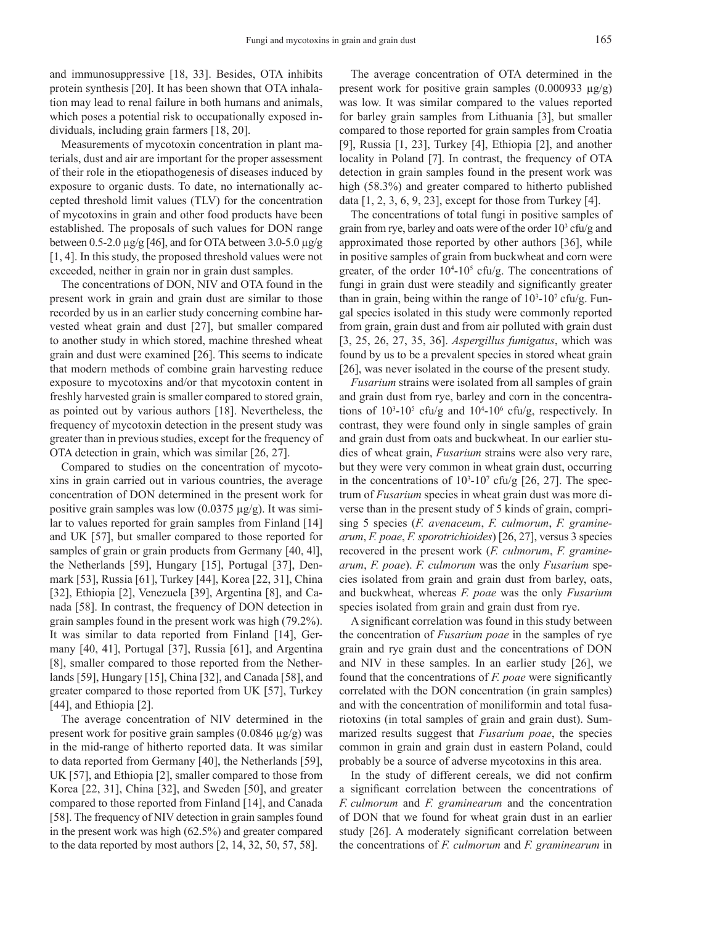and immunosuppressive [18, 33]. Besides, OTA inhibits protein synthesis [20]. It has been shown that OTA inhalation may lead to renal failure in both humans and animals, which poses a potential risk to occupationally exposed individuals, including grain farmers [18, 20].

Measurements of mycotoxin concentration in plant materials, dust and air are important for the proper assessment of their role in the etiopathogenesis of diseases induced by exposure to organic dusts. To date, no internationally accepted threshold limit values (TLV) for the concentration of mycotoxins in grain and other food products have been established. The proposals of such values for DON range between 0.5-2.0  $\mu$ g/g [46], and for OTA between 3.0-5.0  $\mu$ g/g [1, 4]. In this study, the proposed threshold values were not exceeded, neither in grain nor in grain dust samples.

The concentrations of DON, NIV and OTA found in the present work in grain and grain dust are similar to those recorded by us in an earlier study concerning combine harvested wheat grain and dust [27], but smaller compared to another study in which stored, machine threshed wheat grain and dust were examined [26]. This seems to indicate that modern methods of combine grain harvesting reduce exposure to mycotoxins and/or that mycotoxin content in freshly harvested grain is smaller compared to stored grain, as pointed out by various authors [18]. Nevertheless, the frequency of mycotoxin detection in the present study was greater than in previous studies, except for the frequency of OTA detection in grain, which was similar [26, 27].

Compared to studies on the concentration of mycotoxins in grain carried out in various countries, the average concentration of DON determined in the present work for positive grain samples was low  $(0.0375 \text{ µg/g})$ . It was similar to values reported for grain samples from Finland [14] and UK [57], but smaller compared to those reported for samples of grain or grain products from Germany [40, 41], the Netherlands [59], Hungary [15], Portugal [37], Denmark [53], Russia [61], Turkey [44], Korea [22, 31], China [32], Ethiopia [2], Venezuela [39], Argentina [8], and Canada [58]. In contrast, the frequency of DON detection in grain samples found in the present work was high (79.2%). It was similar to data reported from Finland [14], Germany [40, 41], Portugal [37], Russia [61], and Argentina [8], smaller compared to those reported from the Netherlands [59], Hungary [15], China [32], and Canada [58], and greater compared to those reported from UK [57], Turkey [44], and Ethiopia [2].

The average concentration of NIV determined in the present work for positive grain samples (0.0846 μg/g) was in the mid-range of hitherto reported data. It was similar to data reported from Germany [40], the Netherlands [59], UK [57], and Ethiopia [2], smaller compared to those from Korea [22, 31], China [32], and Sweden [50], and greater compared to those reported from Finland [14], and Canada [58]. The frequency of NIV detection in grain samples found in the present work was high (62.5%) and greater compared to the data reported by most authors [2, 14, 32, 50, 57, 58].

The average concentration of OTA determined in the present work for positive grain samples  $(0.000933 \mu g/g)$ was low. It was similar compared to the values reported for barley grain samples from Lithuania [3], but smaller compared to those reported for grain samples from Croatia [9], Russia [1, 23], Turkey [4], Ethiopia [2], and another locality in Poland [7]. In contrast, the frequency of OTA detection in grain samples found in the present work was high (58.3%) and greater compared to hitherto published data  $[1, 2, 3, 6, 9, 23]$ , except for those from Turkey  $[4]$ .

The concentrations of total fungi in positive samples of grain from rye, barley and oats were of the order  $10<sup>3</sup>$  cfu/g and approximated those reported by other authors [36], while in positive samples of grain from buckwheat and corn were greater, of the order  $10^{4}$ - $10^{5}$  cfu/g. The concentrations of fungi in grain dust were steadily and significantly greater than in grain, being within the range of  $10<sup>3</sup>$ -10<sup>7</sup> cfu/g. Fungal species isolated in this study were commonly reported from grain, grain dust and from air polluted with grain dust [3, 25, 26, 27, 35, 36]. *Aspergillus fumigatus*, which was found by us to be a prevalent species in stored wheat grain [26], was never isolated in the course of the present study.

*Fusarium* strains were isolated from all samples of grain and grain dust from rye, barley and corn in the concentrations of  $10^3$ -10<sup>5</sup> cfu/g and  $10^4$ -10<sup>6</sup> cfu/g, respectively. In contrast, they were found only in single samples of grain and grain dust from oats and buckwheat. In our earlier studies of wheat grain, *Fusarium* strains were also very rare, but they were very common in wheat grain dust, occurring in the concentrations of  $10^3$ -10<sup>7</sup> cfu/g [26, 27]. The spectrum of *Fusarium* species in wheat grain dust was more diverse than in the present study of 5 kinds of grain, comprising 5 species (*F. avenaceum*, *F. culmorum*, *F. graminearum*, *F. poae*, *F. sporotrichioides*) [26, 27], versus 3 species recovered in the present work (*F. culmorum*, *F. graminearum*, *F. poae*). *F. culmorum* was the only *Fusarium* species isolated from grain and grain dust from barley, oats, and buckwheat, whereas *F. poae* was the only *Fusarium* species isolated from grain and grain dust from rye.

A significant correlation was found in this study between the concentration of *Fusarium poae* in the samples of rye grain and rye grain dust and the concentrations of DON and NIV in these samples. In an earlier study [26], we found that the concentrations of *F. poae* were significantly correlated with the DON concentration (in grain samples) and with the concentration of moniliformin and total fusariotoxins (in total samples of grain and grain dust). Summarized results suggest that *Fusarium poae*, the species common in grain and grain dust in eastern Poland, could probably be a source of adverse mycotoxins in this area.

In the study of different cereals, we did not confirm a significant correlation between the concentrations of *F. culmorum* and *F. graminearum* and the concentration of DON that we found for wheat grain dust in an earlier study [26]. A moderately significant correlation between the concentrations of *F. culmorum* and *F. graminearum* in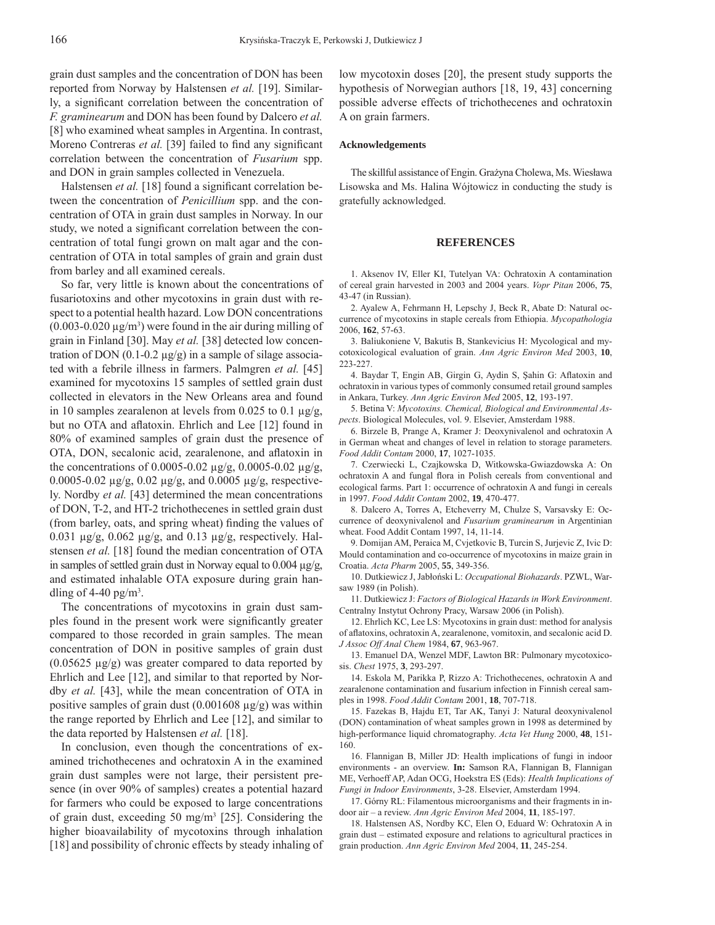grain dust samples and the concentration of DON has been reported from Norway by Halstensen *et al.* [19]. Similarly, a significant correlation between the concentration of *F. graminearum* and DON has been found by Dalcero *et al.* [8] who examined wheat samples in Argentina. In contrast, Moreno Contreras *et al.* [39] failed to find any significant correlation between the concentration of *Fusarium* spp. and DON in grain samples collected in Venezuela.

Halstensen *et al.* [18] found a significant correlation between the concentration of *Penicillium* spp. and the concentration of OTA in grain dust samples in Norway. In our study, we noted a significant correlation between the concentration of total fungi grown on malt agar and the concentration of OTA in total samples of grain and grain dust from barley and all examined cereals.

So far, very little is known about the concentrations of fusariotoxins and other mycotoxins in grain dust with respect to a potential health hazard. Low DON concentrations  $(0.003 - 0.020 \,\mu\text{g/m}^3)$  were found in the air during milling of grain in Finland [30]. May *et al.* [38] detected low concentration of DON  $(0.1\n-0.2 \text{ μg/g})$  in a sample of silage associated with a febrile illness in farmers. Palmgren *et al.* [45] examined for mycotoxins 15 samples of settled grain dust collected in elevators in the New Orleans area and found in 10 samples zearalenon at levels from 0.025 to 0.1 μg/g, but no OTA and aflatoxin. Ehrlich and Lee [12] found in 80% of examined samples of grain dust the presence of OTA, DON, secalonic acid, zearalenone, and aflatoxin in the concentrations of 0.0005-0.02 μg/g, 0.0005-0.02 μg/g, 0.0005-0.02 μg/g, 0.02 μg/g, and 0.0005 μg/g, respectively. Nordby *et al.* [43] determined the mean concentrations of DON, T-2, and HT-2 trichothecenes in settled grain dust (from barley, oats, and spring wheat) finding the values of  $0.031 \mu$ g/g,  $0.062 \mu$ g/g, and  $0.13 \mu$ g/g, respectively. Halstensen *et al.* [18] found the median concentration of OTA in samples of settled grain dust in Norway equal to 0.004 μg/g, and estimated inhalable OTA exposure during grain handling of 4-40 pg/m<sup>3</sup>.

The concentrations of mycotoxins in grain dust samples found in the present work were significantly greater compared to those recorded in grain samples. The mean concentration of DON in positive samples of grain dust (0.05625 μg/g) was greater compared to data reported by Ehrlich and Lee [12], and similar to that reported by Nordby *et al.* [43], while the mean concentration of OTA in positive samples of grain dust  $(0.001608 \mu g/g)$  was within the range reported by Ehrlich and Lee [12], and similar to the data reported by Halstensen *et al.* [18].

In conclusion, even though the concentrations of examined trichothecenes and ochratoxin A in the examined grain dust samples were not large, their persistent presence (in over 90% of samples) creates a potential hazard for farmers who could be exposed to large concentrations of grain dust, exceeding 50 mg/m<sup>3</sup> [25]. Considering the higher bioavailability of mycotoxins through inhalation [18] and possibility of chronic effects by steady inhaling of

low mycotoxin doses [20], the present study supports the hypothesis of Norwegian authors [18, 19, 43] concerning possible adverse effects of trichothecenes and ochratoxin A on grain farmers.

#### **Acknowledgements**

The skillful assistance of Engin. Grażyna Cholewa, Ms. Wiesława Lisowska and Ms. Halina Wójtowicz in conducting the study is gratefully acknowledged.

#### **REFERENCES**

1. Aksenov IV, Eller KI, Tutelyan VA: Ochratoxin A contamination of cereal grain harvested in 2003 and 2004 years. *Vopr Pitan* 2006, **75**, 43-47 (in Russian).

2. Ayalew A, Fehrmann H, Lepschy J, Beck R, Abate D: Natural occurrence of mycotoxins in staple cereals from Ethiopia. *Mycopathologia* 2006, **162**, 57-63.

3. Baliukoniene V, Bakutis B, Stankevicius H: Mycological and mycotoxicological evaluation of grain. *Ann Agric Environ Med* 2003, **10**, 223-227.

4. Baydar T, Engin AB, Girgin G, Aydin S, Şahin G: Aflatoxin and ochratoxin in various types of commonly consumed retail ground samples in Ankara, Turkey. *Ann Agric Environ Med* 2005, **12**, 193-197.

5. Betina V: *Mycotoxins. Chemical, Biological and Environmental Aspects*. Biological Molecules, vol. 9. Elsevier, Amsterdam 1988.

6. Birzele B, Prange A, Kramer J: Deoxynivalenol and ochratoxin A in German wheat and changes of level in relation to storage parameters. *Food Addit Contam* 2000, **17**, 1027-1035.

7. Czerwiecki L, Czajkowska D, Witkowska-Gwiazdowska A: On ochratoxin A and fungal flora in Polish cereals from conventional and ecological farms. Part 1: occurrence of ochratoxin A and fungi in cereals in 1997. *Food Addit Contam* 2002, **19**, 470-477.

8. Dalcero A, Torres A, Etcheverry M, Chulze S, Varsavsky E: Occurrence of deoxynivalenol and *Fusarium graminearum* in Argentinian wheat. Food Addit Contam 1997, 14, 11-14.

9. Domijan AM, Peraica M, Cvjetkovic B, Turcin S, Jurjevic Z, Ivic D: Mould contamination and co-occurrence of mycotoxins in maize grain in Croatia. *Acta Pharm* 2005, **55**, 349-356.

10. Dutkiewicz J, Jabłoński L: *Occupational Biohazards*. PZWL, Warsaw 1989 (in Polish).

11. Dutkiewicz J: *Factors of Biological Hazards in Work Environment*. Centralny Instytut Ochrony Pracy, Warsaw 2006 (in Polish).

12. Ehrlich KC, Lee LS: Mycotoxins in grain dust: method for analysis of afl atoxins, ochratoxin A, zearalenone, vomitoxin, and secalonic acid D. *J Assoc Off Anal Chem* 1984, **67**, 963-967.

13. Emanuel DA, Wenzel MDF, Lawton BR: Pulmonary mycotoxicosis. *Chest* 1975, **3**, 293-297.

14. Eskola M, Parikka P, Rizzo A: Trichothecenes, ochratoxin A and zearalenone contamination and fusarium infection in Finnish cereal samples in 1998. *Food Addit Contam* 2001, **18**, 707-718.

15. Fazekas B, Hajdu ET, Tar AK, Tanyi J: Natural deoxynivalenol (DON) contamination of wheat samples grown in 1998 as determined by high-performance liquid chromatography. *Acta Vet Hung* 2000, **48**, 151- 160.

16. Flannigan B, Miller JD: Health implications of fungi in indoor environments - an overview. **In:** Samson RA, Flannigan B, Flannigan ME, Verhoeff AP, Adan OCG, Hoekstra ES (Eds): *Health Implications of Fungi in Indoor Environments*, 3-28. Elsevier, Amsterdam 1994.

17. Górny RL: Filamentous microorganisms and their fragments in indoor air – a review. *Ann Agric Environ Med* 2004, **11**, 185-197.

18. Halstensen AS, Nordby KC, Elen O, Eduard W: Ochratoxin A in grain dust – estimated exposure and relations to agricultural practices in grain production. *Ann Agric Environ Med* 2004, **11**, 245-254.